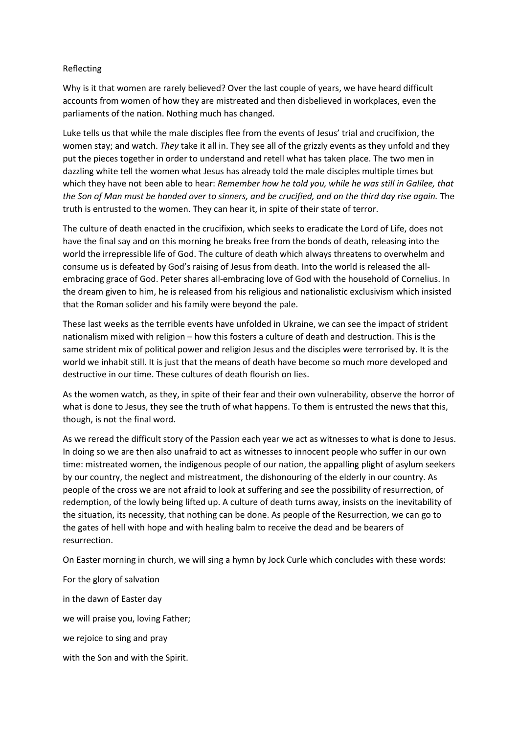## Reflecting

Why is it that women are rarely believed? Over the last couple of years, we have heard difficult accounts from women of how they are mistreated and then disbelieved in workplaces, even the parliaments of the nation. Nothing much has changed.

Luke tells us that while the male disciples flee from the events of Jesus' trial and crucifixion, the women stay; and watch. *They* take it all in. They see all of the grizzly events as they unfold and they put the pieces together in order to understand and retell what has taken place. The two men in dazzling white tell the women what Jesus has already told the male disciples multiple times but which they have not been able to hear: *Remember how he told you, while he was still in Galilee, that the Son of Man must be handed over to sinners, and be crucified, and on the third day rise again.* The truth is entrusted to the women. They can hear it, in spite of their state of terror.

The culture of death enacted in the crucifixion, which seeks to eradicate the Lord of Life, does not have the final say and on this morning he breaks free from the bonds of death, releasing into the world the irrepressible life of God. The culture of death which always threatens to overwhelm and consume us is defeated by God's raising of Jesus from death. Into the world is released the allembracing grace of God. Peter shares all-embracing love of God with the household of Cornelius. In the dream given to him, he is released from his religious and nationalistic exclusivism which insisted that the Roman solider and his family were beyond the pale.

These last weeks as the terrible events have unfolded in Ukraine, we can see the impact of strident nationalism mixed with religion – how this fosters a culture of death and destruction. This is the same strident mix of political power and religion Jesus and the disciples were terrorised by. It is the world we inhabit still. It is just that the means of death have become so much more developed and destructive in our time. These cultures of death flourish on lies.

As the women watch, as they, in spite of their fear and their own vulnerability, observe the horror of what is done to Jesus, they see the truth of what happens. To them is entrusted the news that this, though, is not the final word.

As we reread the difficult story of the Passion each year we act as witnesses to what is done to Jesus. In doing so we are then also unafraid to act as witnesses to innocent people who suffer in our own time: mistreated women, the indigenous people of our nation, the appalling plight of asylum seekers by our country, the neglect and mistreatment, the dishonouring of the elderly in our country. As people of the cross we are not afraid to look at suffering and see the possibility of resurrection, of redemption, of the lowly being lifted up. A culture of death turns away, insists on the inevitability of the situation, its necessity, that nothing can be done. As people of the Resurrection, we can go to the gates of hell with hope and with healing balm to receive the dead and be bearers of resurrection.

On Easter morning in church, we will sing a hymn by Jock Curle which concludes with these words:

For the glory of salvation in the dawn of Easter day we will praise you, loving Father; we rejoice to sing and pray with the Son and with the Spirit.